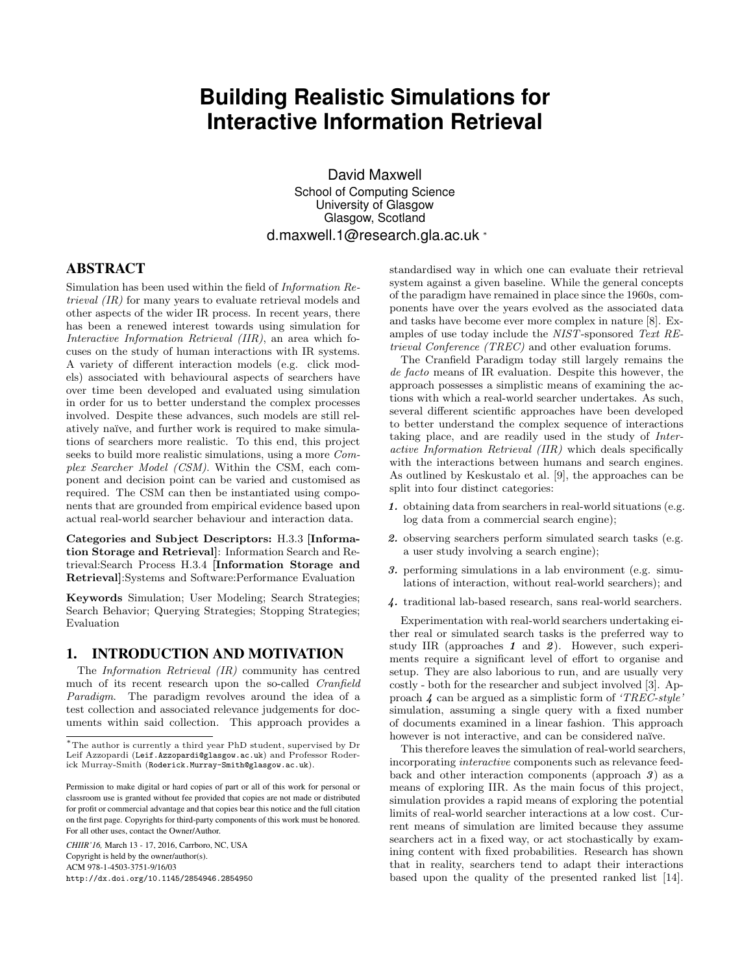# **Building Realistic Simulations for Interactive Information Retrieval**

David Maxwell School of Computing Science University of Glasgow Glasgow, Scotland d.maxwell.1@research.gla.ac.uk <sup>∗</sup>

# ABSTRACT

Simulation has been used within the field of Information Retrieval (IR) for many years to evaluate retrieval models and other aspects of the wider IR process. In recent years, there has been a renewed interest towards using simulation for Interactive Information Retrieval (IIR), an area which focuses on the study of human interactions with IR systems. A variety of different interaction models (e.g. click models) associated with behavioural aspects of searchers have over time been developed and evaluated using simulation in order for us to better understand the complex processes involved. Despite these advances, such models are still relatively naïve, and further work is required to make simulations of searchers more realistic. To this end, this project seeks to build more realistic simulations, using a more Complex Searcher Model (CSM). Within the CSM, each component and decision point can be varied and customised as required. The CSM can then be instantiated using components that are grounded from empirical evidence based upon actual real-world searcher behaviour and interaction data.

Categories and Subject Descriptors: H.3.3 [Information Storage and Retrieval]: Information Search and Retrieval:Search Process H.3.4 [Information Storage and Retrieval]:Systems and Software:Performance Evaluation

Keywords Simulation; User Modeling; Search Strategies; Search Behavior; Querying Strategies; Stopping Strategies; Evaluation

# 1. INTRODUCTION AND MOTIVATION

The Information Retrieval (IR) community has centred much of its recent research upon the so-called Cranfield Paradigm. The paradigm revolves around the idea of a test collection and associated relevance judgements for documents within said collection. This approach provides a

*CHIIR'16,* March 13 - 17, 2016, Carrboro, NC, USA Copyright is held by the owner/author(s). ACM 978-1-4503-3751-9/16/03 http://dx.doi.org/10.1145/2854946.2854950 standardised way in which one can evaluate their retrieval system against a given baseline. While the general concepts of the paradigm have remained in place since the 1960s, components have over the years evolved as the associated data and tasks have become ever more complex in nature [8]. Examples of use today include the NIST-sponsored Text REtrieval Conference (TREC) and other evaluation forums.

The Cranfield Paradigm today still largely remains the de facto means of IR evaluation. Despite this however, the approach possesses a simplistic means of examining the actions with which a real-world searcher undertakes. As such, several different scientific approaches have been developed to better understand the complex sequence of interactions taking place, and are readily used in the study of Interactive Information Retrieval (IIR) which deals specifically with the interactions between humans and search engines. As outlined by Keskustalo et al. [9], the approaches can be split into four distinct categories:

- 1. obtaining data from searchers in real-world situations (e.g. log data from a commercial search engine);
- 2. observing searchers perform simulated search tasks (e.g. a user study involving a search engine);
- 3. performing simulations in a lab environment (e.g. simulations of interaction, without real-world searchers); and
- 4. traditional lab-based research, sans real-world searchers.

Experimentation with real-world searchers undertaking either real or simulated search tasks is the preferred way to study IIR (approaches  $1$  and  $2$ ). However, such experiments require a significant level of effort to organise and setup. They are also laborious to run, and are usually very costly - both for the researcher and subject involved [3]. Approach  $\angle$  can be argued as a simplistic form of 'TREC-style' simulation, assuming a single query with a fixed number of documents examined in a linear fashion. This approach however is not interactive, and can be considered naïve.

This therefore leaves the simulation of real-world searchers, incorporating interactive components such as relevance feedback and other interaction components (approach 3) as a means of exploring IIR. As the main focus of this project, simulation provides a rapid means of exploring the potential limits of real-world searcher interactions at a low cost. Current means of simulation are limited because they assume searchers act in a fixed way, or act stochastically by examining content with fixed probabilities. Research has shown that in reality, searchers tend to adapt their interactions based upon the quality of the presented ranked list [14].

 $^{\ast}$  The author is currently a third year PhD student, supervised by Dr Leif Azzopardi (Leif.Azzopardi@glasgow.ac.uk) and Professor Roderick Murray-Smith (Roderick.Murray-Smith@glasgow.ac.uk).

Permission to make digital or hard copies of part or all of this work for personal or classroom use is granted without fee provided that copies are not made or distributed for profit or commercial advantage and that copies bear this notice and the full citation on the first page. Copyrights for third-party components of this work must be honored. For all other uses, contact the Owner/Author.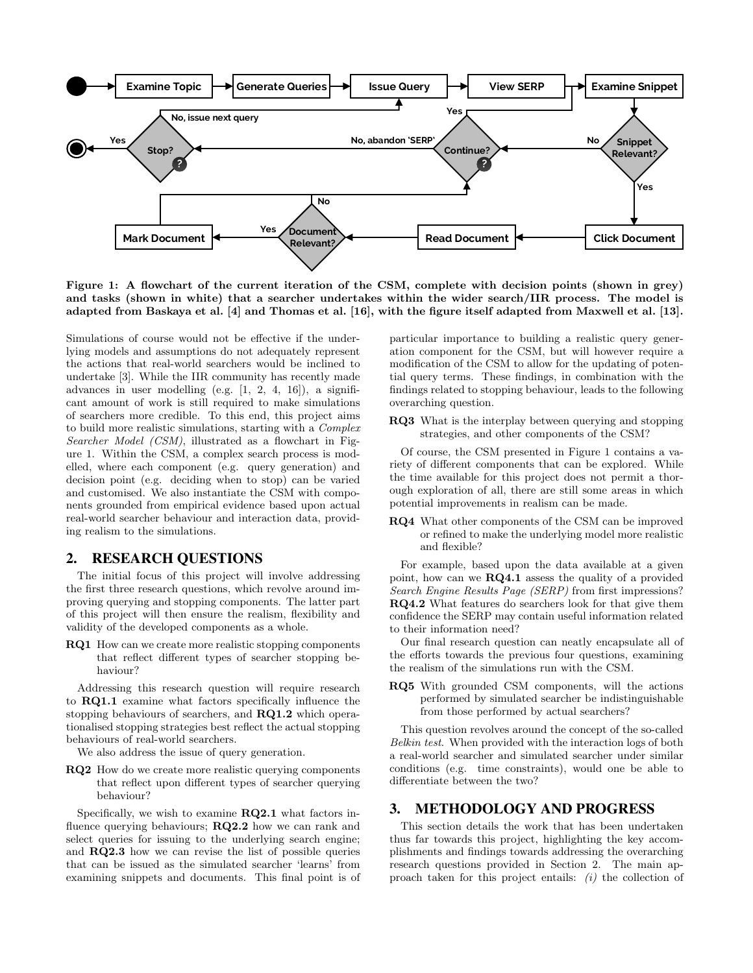

Figure 1: A flowchart of the current iteration of the CSM, complete with decision points (shown in grey) and tasks (shown in white) that a searcher undertakes within the wider search/IIR process. The model is adapted from Baskaya et al. [4] and Thomas et al. [16], with the figure itself adapted from Maxwell et al. [13].

Simulations of course would not be effective if the underlying models and assumptions do not adequately represent the actions that real-world searchers would be inclined to undertake [3]. While the IIR community has recently made advances in user modelling (e.g. [1, 2, 4, 16]), a significant amount of work is still required to make simulations of searchers more credible. To this end, this project aims to build more realistic simulations, starting with a Complex Searcher Model (CSM), illustrated as a flowchart in Figure 1. Within the CSM, a complex search process is modelled, where each component (e.g. query generation) and decision point (e.g. deciding when to stop) can be varied and customised. We also instantiate the CSM with components grounded from empirical evidence based upon actual real-world searcher behaviour and interaction data, providing realism to the simulations.

# 2. RESEARCH QUESTIONS

The initial focus of this project will involve addressing the first three research questions, which revolve around improving querying and stopping components. The latter part of this project will then ensure the realism, flexibility and validity of the developed components as a whole.

RQ1 How can we create more realistic stopping components that reflect different types of searcher stopping behaviour?

Addressing this research question will require research to RQ1.1 examine what factors specifically influence the stopping behaviours of searchers, and RQ1.2 which operationalised stopping strategies best reflect the actual stopping behaviours of real-world searchers.

We also address the issue of query generation.

RQ2 How do we create more realistic querying components that reflect upon different types of searcher querying behaviour?

Specifically, we wish to examine  $RQ2.1$  what factors influence querying behaviours; RQ2.2 how we can rank and select queries for issuing to the underlying search engine; and RQ2.3 how we can revise the list of possible queries that can be issued as the simulated searcher 'learns' from examining snippets and documents. This final point is of particular importance to building a realistic query generation component for the CSM, but will however require a modification of the CSM to allow for the updating of potential query terms. These findings, in combination with the findings related to stopping behaviour, leads to the following overarching question.

RQ3 What is the interplay between querying and stopping strategies, and other components of the CSM?

Of course, the CSM presented in Figure 1 contains a variety of different components that can be explored. While the time available for this project does not permit a thorough exploration of all, there are still some areas in which potential improvements in realism can be made.

RQ4 What other components of the CSM can be improved or refined to make the underlying model more realistic and flexible?

For example, based upon the data available at a given point, how can we RQ4.1 assess the quality of a provided Search Engine Results Page (SERP) from first impressions? RQ4.2 What features do searchers look for that give them confidence the SERP may contain useful information related to their information need?

Our final research question can neatly encapsulate all of the efforts towards the previous four questions, examining the realism of the simulations run with the CSM.

RQ5 With grounded CSM components, will the actions performed by simulated searcher be indistinguishable from those performed by actual searchers?

This question revolves around the concept of the so-called Belkin test. When provided with the interaction logs of both a real-world searcher and simulated searcher under similar conditions (e.g. time constraints), would one be able to differentiate between the two?

#### 3. METHODOLOGY AND PROGRESS

This section details the work that has been undertaken thus far towards this project, highlighting the key accomplishments and findings towards addressing the overarching research questions provided in Section 2. The main approach taken for this project entails:  $(i)$  the collection of